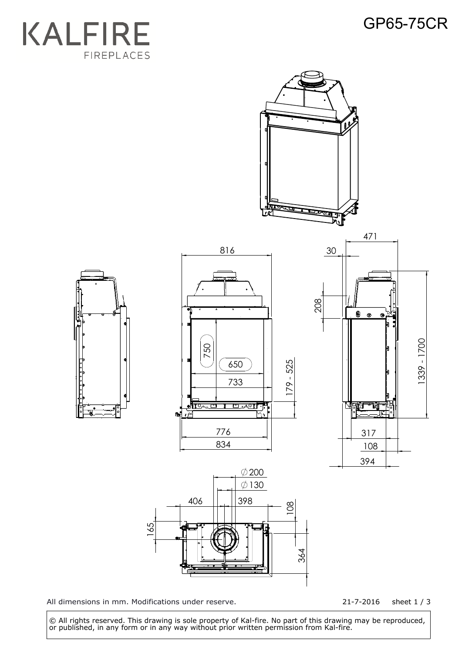## GP65-75CR





All dimensions in mm. Modifications under reserve.

21-7-2016 sheet 1 / 3

 © All rights reserved. This drawing is sole property of Kal-fire. No part of this drawing may be reproduced, or published, in any form or in any way without prior written permission from Kal-fire.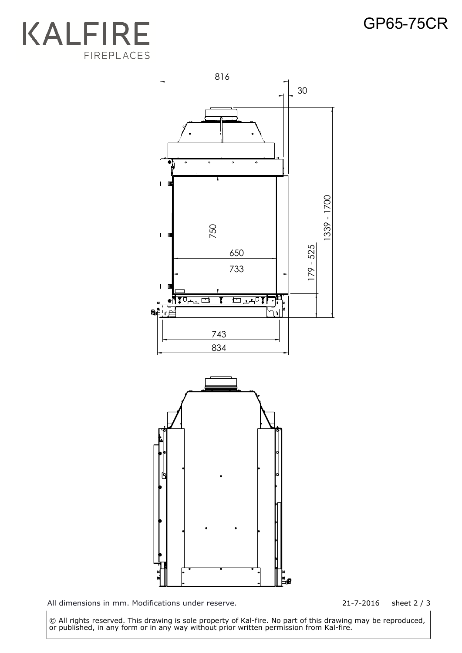## GP65-75CR





All dimensions in mm. Modifications under reserve. 21-7-2016 sheet 2 / 3

 © All rights reserved. This drawing is sole property of Kal-fire. No part of this drawing may be reproduced, or published, in any form or in any way without prior written permission from Kal-fire.